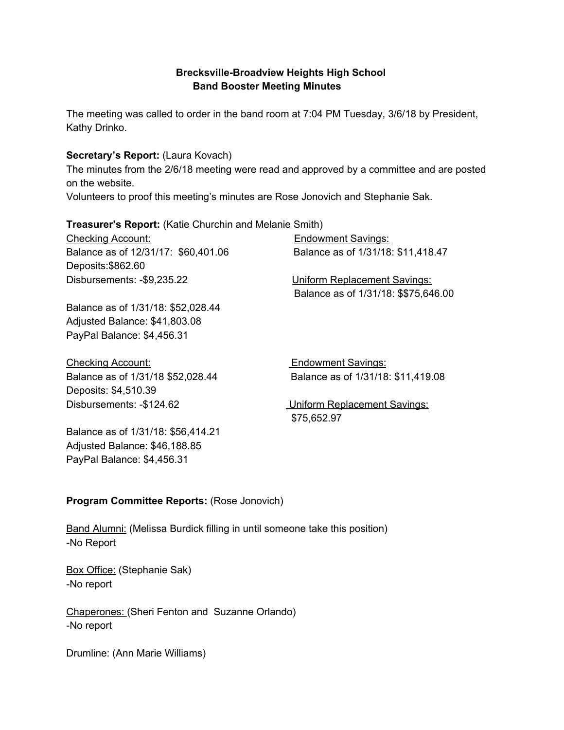## **Brecksville-Broadview Heights High School Band Booster Meeting Minutes**

The meeting was called to order in the band room at 7:04 PM Tuesday, 3/6/18 by President, Kathy Drinko.

#### **Secretary's Report:** (Laura Kovach)

The minutes from the 2/6/18 meeting were read and approved by a committee and are posted on the website.

Volunteers to proof this meeting's minutes are Rose Jonovich and Stephanie Sak.

#### **Treasurer's Report:** (Katie Churchin and Melanie Smith)

| <b>Checking Account:</b>                  | <b>Endowment Savings:</b>            |
|-------------------------------------------|--------------------------------------|
| Balance as of 12/31/17: \$60,401.06       | Balance as of 1/31/18: \$11,418.47   |
| Deposits: \$862.60                        |                                      |
| Disbursements: -\$9,235.22                | <b>Uniform Replacement Savings:</b>  |
|                                           | Balance as of 1/31/18: \$\$75,646.00 |
| Balance as of 1/31/18: \$52,028.44        |                                      |
| Adjusted Balance: \$41,803.08             |                                      |
| PayPal Balance: \$4,456.31                |                                      |
| <b>Checking Account:</b>                  | <b>Endowment Savings:</b>            |
| Balance as of 1/31/18 \$52,028.44         | Balance as of 1/31/18: \$11,419.08   |
| Deposits: \$4,510.39                      |                                      |
| Disbursements: -\$124.62                  | <b>Uniform Replacement Savings:</b>  |
|                                           | \$75,652.97                          |
| <u> Delege e de etaloaiao, mpo aaa oa</u> |                                      |

Balance as of 1/31/18: \$56,414.21 Adjusted Balance: \$46,188.85 PayPal Balance: \$4,456.31

#### **Program Committee Reports:** (Rose Jonovich)

Band Alumni: (Melissa Burdick filling in until someone take this position) -No Report

Box Office: (Stephanie Sak) -No report

Chaperones: (Sheri Fenton and Suzanne Orlando) -No report

Drumline: (Ann Marie Williams)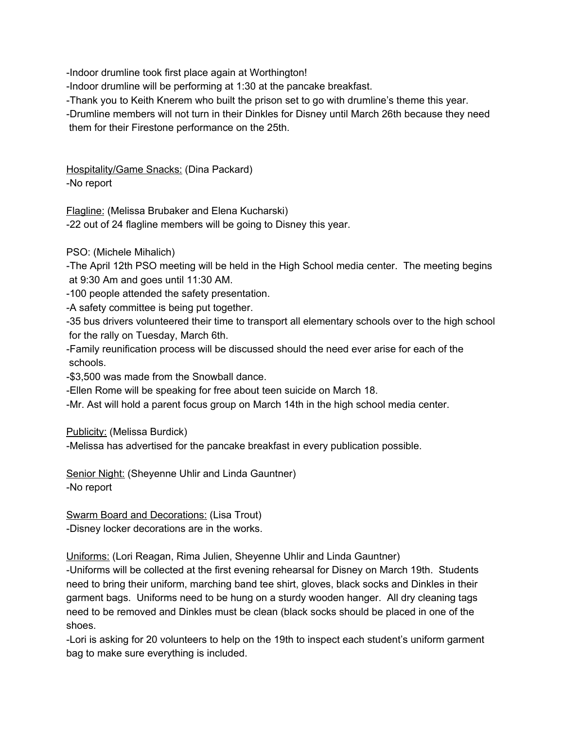-Indoor drumline took first place again at Worthington!

-Indoor drumline will be performing at 1:30 at the pancake breakfast.

-Thank you to Keith Knerem who built the prison set to go with drumline's theme this year.

-Drumline members will not turn in their Dinkles for Disney until March 26th because they need them for their Firestone performance on the 25th.

Hospitality/Game Snacks: (Dina Packard) -No report

Flagline: (Melissa Brubaker and Elena Kucharski)

-22 out of 24 flagline members will be going to Disney this year.

PSO: (Michele Mihalich)

-The April 12th PSO meeting will be held in the High School media center. The meeting begins at 9:30 Am and goes until 11:30 AM.

-100 people attended the safety presentation.

-A safety committee is being put together.

-35 bus drivers volunteered their time to transport all elementary schools over to the high school for the rally on Tuesday, March 6th.

-Family reunification process will be discussed should the need ever arise for each of the schools.

-\$3,500 was made from the Snowball dance.

-Ellen Rome will be speaking for free about teen suicide on March 18.

-Mr. Ast will hold a parent focus group on March 14th in the high school media center.

Publicity: (Melissa Burdick)

-Melissa has advertised for the pancake breakfast in every publication possible.

Senior Night: (Sheyenne Uhlir and Linda Gauntner) -No report

Swarm Board and Decorations: (Lisa Trout) -Disney locker decorations are in the works.

Uniforms: (Lori Reagan, Rima Julien, Sheyenne Uhlir and Linda Gauntner)

-Uniforms will be collected at the first evening rehearsal for Disney on March 19th. Students need to bring their uniform, marching band tee shirt, gloves, black socks and Dinkles in their garment bags. Uniforms need to be hung on a sturdy wooden hanger. All dry cleaning tags need to be removed and Dinkles must be clean (black socks should be placed in one of the shoes.

-Lori is asking for 20 volunteers to help on the 19th to inspect each student's uniform garment bag to make sure everything is included.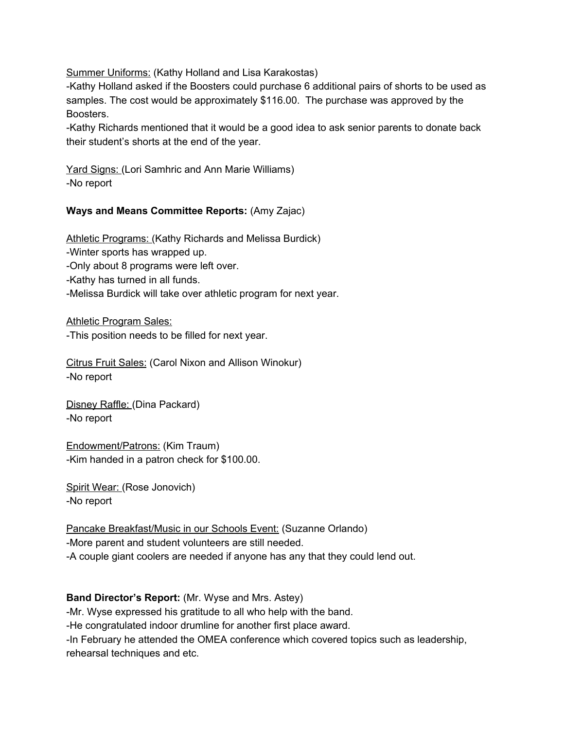Summer Uniforms: (Kathy Holland and Lisa Karakostas)

-Kathy Holland asked if the Boosters could purchase 6 additional pairs of shorts to be used as samples. The cost would be approximately \$116.00. The purchase was approved by the Boosters.

-Kathy Richards mentioned that it would be a good idea to ask senior parents to donate back their student's shorts at the end of the year.

Yard Signs: (Lori Samhric and Ann Marie Williams) -No report

## **Ways and Means Committee Reports:** (Amy Zajac)

Athletic Programs: (Kathy Richards and Melissa Burdick) -Winter sports has wrapped up. -Only about 8 programs were left over. -Kathy has turned in all funds. -Melissa Burdick will take over athletic program for next year.

Athletic Program Sales: -This position needs to be filled for next year.

Citrus Fruit Sales: (Carol Nixon and Allison Winokur) -No report

Disney Raffle: (Dina Packard) -No report

Endowment/Patrons: (Kim Traum) -Kim handed in a patron check for \$100.00.

Spirit Wear: (Rose Jonovich) -No report

Pancake Breakfast/Music in our Schools Event: (Suzanne Orlando) -More parent and student volunteers are still needed. -A couple giant coolers are needed if anyone has any that they could lend out.

#### **Band Director's Report:** (Mr. Wyse and Mrs. Astey)

-Mr. Wyse expressed his gratitude to all who help with the band.

-He congratulated indoor drumline for another first place award.

-In February he attended the OMEA conference which covered topics such as leadership, rehearsal techniques and etc.